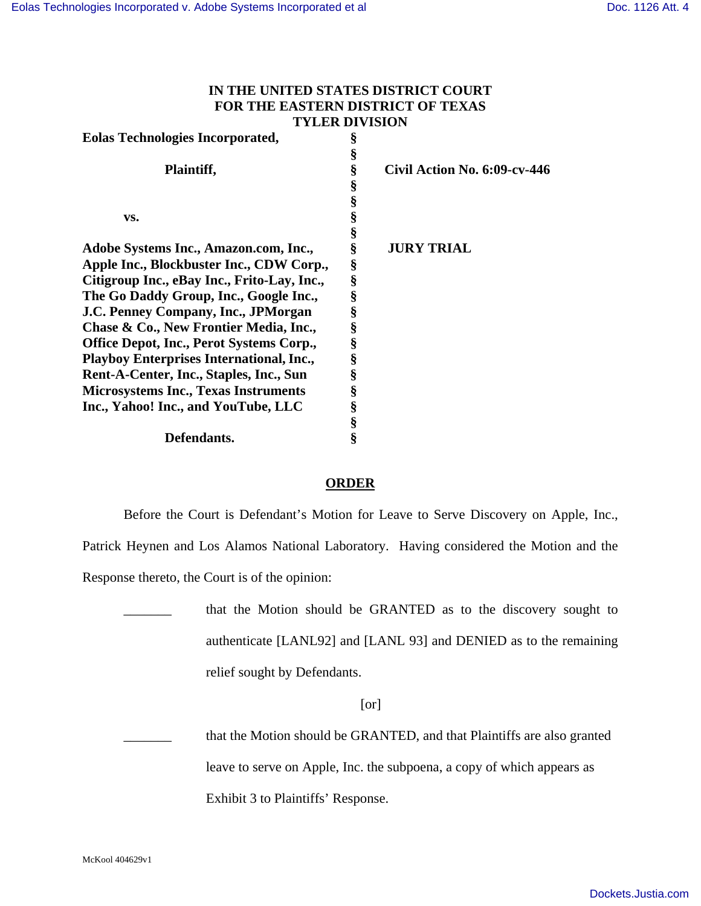## **IN THE UNITED STATES DISTRICT COURT FOR THE EASTERN DISTRICT OF TEXAS TYLER DIVISION**

| <b>Eolas Technologies Incorporated,</b>         | § |                              |
|-------------------------------------------------|---|------------------------------|
|                                                 | § |                              |
| Plaintiff,                                      | § | Civil Action No. 6:09-cv-446 |
|                                                 | § |                              |
|                                                 | § |                              |
| VS.                                             | § |                              |
|                                                 | § |                              |
| Adobe Systems Inc., Amazon.com, Inc.,           | § | <b>JURY TRIAL</b>            |
| Apple Inc., Blockbuster Inc., CDW Corp.,        | § |                              |
| Citigroup Inc., eBay Inc., Frito-Lay, Inc.,     | § |                              |
| The Go Daddy Group, Inc., Google Inc.,          | § |                              |
| J.C. Penney Company, Inc., JPMorgan             | § |                              |
| Chase & Co., New Frontier Media, Inc.,          | § |                              |
| <b>Office Depot, Inc., Perot Systems Corp.,</b> | § |                              |
| <b>Playboy Enterprises International, Inc.,</b> | § |                              |
| Rent-A-Center, Inc., Staples, Inc., Sun         | § |                              |
| <b>Microsystems Inc., Texas Instruments</b>     | § |                              |
| Inc., Yahoo! Inc., and YouTube, LLC             | § |                              |
|                                                 | § |                              |
| <b>Defendants.</b>                              | § |                              |

## **ORDER**

Before the Court is Defendant's Motion for Leave to Serve Discovery on Apple, Inc.,

Patrick Heynen and Los Alamos National Laboratory. Having considered the Motion and the

Response thereto, the Court is of the opinion:

that the Motion should be GRANTED as to the discovery sought to authenticate [LANL92] and [LANL 93] and DENIED as to the remaining relief sought by Defendants.

## [or]

that the Motion should be GRANTED, and that Plaintiffs are also granted leave to serve on Apple, Inc. the subpoena, a copy of which appears as Exhibit 3 to Plaintiffs' Response.